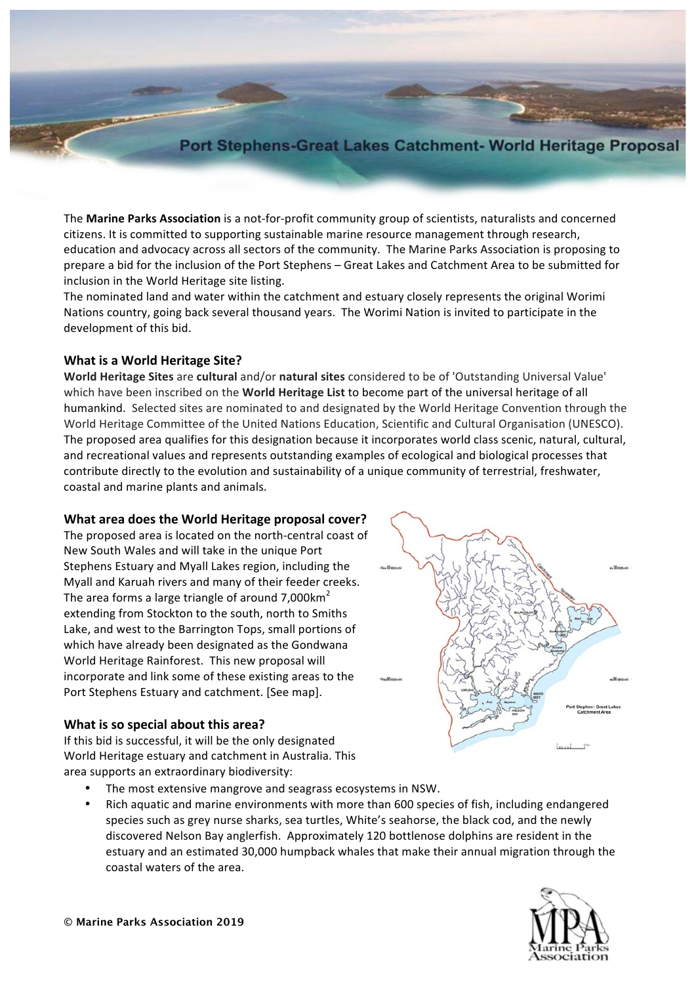# Port Stephens-Great Lakes Catchment- World Heritage Proposal

The **Marine Parks Association** is a not-for-profit community group of scientists, naturalists and concerned citizens. It is committed to supporting sustainable marine resource management through research, education and advocacy across all sectors of the community. The Marine Parks Association is proposing to prepare a bid for the inclusion of the Port Stephens - Great Lakes and Catchment Area to be submitted for inclusion in the World Heritage site listing.

The nominated land and water within the catchment and estuary closely represents the original Worimi Nations country, going back several thousand years. The Worimi Nation is invited to participate in the development of this bid.

# **What is a World Heritage Site?**

**World Heritage Sites** are cultural and/or natural sites considered to be of 'Outstanding Universal Value' which have been inscribed on the **World Heritage List** to become part of the universal heritage of all humankind. Selected sites are nominated to and designated by the World Heritage Convention through the World Heritage Committee of the United Nations Education, Scientific and Cultural Organisation (UNESCO). The proposed area qualifies for this designation because it incorporates world class scenic, natural, cultural, and recreational values and represents outstanding examples of ecological and biological processes that contribute directly to the evolution and sustainability of a unique community of terrestrial, freshwater, coastal and marine plants and animals.

### **What area does the World Heritage proposal cover?**

The proposed area is located on the north-central coast of New South Wales and will take in the unique Port Stephens Estuary and Myall Lakes region, including the Myall and Karuah rivers and many of their feeder creeks. The area forms a large triangle of around  $7,000$ km<sup>2</sup> extending from Stockton to the south, north to Smiths Lake, and west to the Barrington Tops, small portions of which have already been designated as the Gondwana World Heritage Rainforest. This new proposal will incorporate and link some of these existing areas to the Port Stephens Estuary and catchment. [See map].

### **What is so special about this area?**

If this bid is successful, it will be the only designated World Heritage estuary and catchment in Australia. This area supports an extraordinary biodiversity:

- The most extensive mangrove and seagrass ecosystems in NSW.
- Rich aquatic and marine environments with more than 600 species of fish, including endangered species such as grey nurse sharks, sea turtles, White's seahorse, the black cod, and the newly discovered Nelson Bay anglerfish. Approximately 120 bottlenose dolphins are resident in the estuary and an estimated 30,000 humpback whales that make their annual migration through the coastal waters of the area.